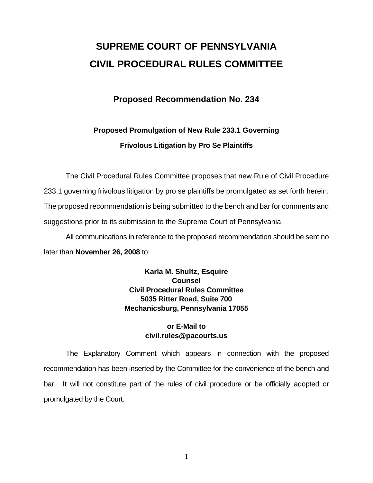# **SUPREME COURT OF PENNSYLVANIA CIVIL PROCEDURAL RULES COMMITTEE**

### **Proposed Recommendation No. 234**

## **Proposed Promulgation of New Rule 233.1 Governing Frivolous Litigation by Pro Se Plaintiffs**

 The Civil Procedural Rules Committee proposes that new Rule of Civil Procedure 233.1 governing frivolous litigation by pro se plaintiffs be promulgated as set forth herein. The proposed recommendation is being submitted to the bench and bar for comments and suggestions prior to its submission to the Supreme Court of Pennsylvania.

 All communications in reference to the proposed recommendation should be sent no later than **November 26, 2008** to:

> **Karla M. Shultz, Esquire Counsel Civil Procedural Rules Committee 5035 Ritter Road, Suite 700 Mechanicsburg, Pennsylvania 17055**

#### **or E-Mail to civil.rules@pacourts.us**

 The Explanatory Comment which appears in connection with the proposed recommendation has been inserted by the Committee for the convenience of the bench and bar. It will not constitute part of the rules of civil procedure or be officially adopted or promulgated by the Court.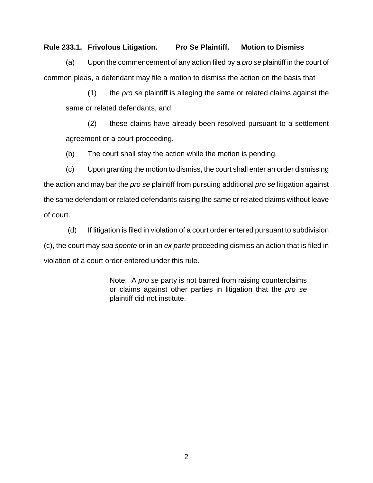#### **Rule 233.1. Frivolous Litigation. Pro Se Plaintiff. Motion to Dismiss**

 (a) Upon the commencement of any action filed by a *pro se* plaintiff in the court of common pleas, a defendant may file a motion to dismiss the action on the basis that

(1) the *pro se* plaintiff is alleging the same or related claims against the same or related defendants, and

(2) these claims have already been resolved pursuant to a settlement agreement or a court proceeding.

(b) The court shall stay the action while the motion is pending.

(c) Upon granting the motion to dismiss, the court shall enter an order dismissing the action and may bar the *pro se* plaintiff from pursuing additional *pro se* litigation against the same defendant or related defendants raising the same or related claims without leave of court.

 (d) If litigation is filed in violation of a court order entered pursuant to subdivision (c), the court may *sua sponte* or in an *ex parte* proceeding dismiss an action that is filed in violation of a court order entered under this rule.

> Note: A *pro se* party is not barred from raising counterclaims or claims against other parties in litigation that the *pro se* plaintiff did not institute.